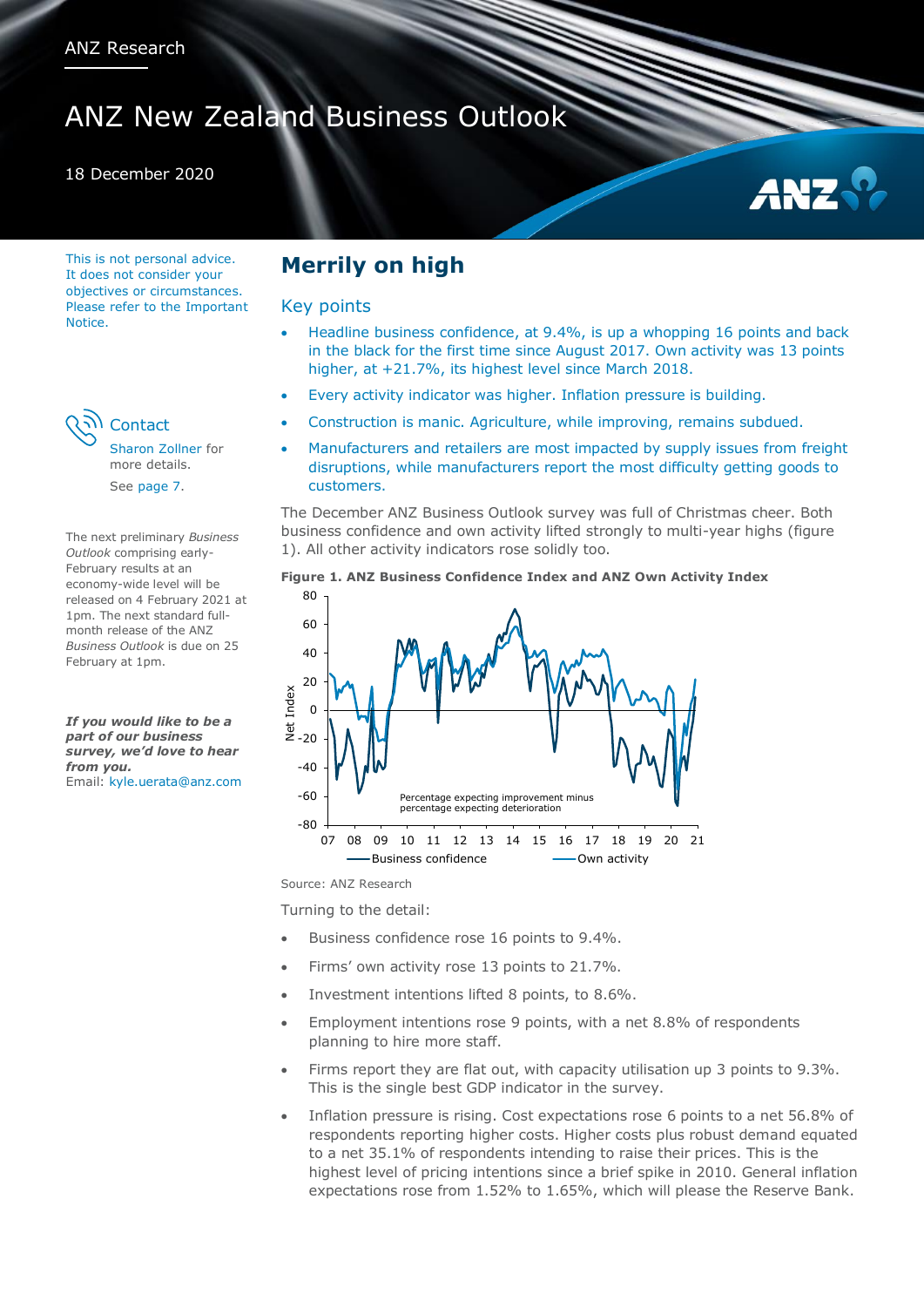# ANZ New Zealand Business Outlook

### 18 December 2020

This is not personal advice. It does not consider your objectives or circumstances. Please refer to the Important **Notice** 



[Sharon Zollner](#page-6-0) for more details. See [page 7.](#page-6-1)

The next preliminary *Business Outlook* comprising early-February results at an economy-wide level will be released on 4 February 2021 at 1pm. The next standard fullmonth release of the ANZ *Business Outlook* is due on 25 February at 1pm.

*If you would like to be a part of our business survey, we'd love to hear from you.* Email: [kyle.uerata@anz.com](mailto:kyle.uerata@anz.com)

## **Merrily on high**

### Key points

- Headline business confidence, at 9.4%, is up a whopping 16 points and back in the black for the first time since August 2017. Own activity was 13 points higher, at +21.7%, its highest level since March 2018.
- Every activity indicator was higher. Inflation pressure is building.
- Construction is manic. Agriculture, while improving, remains subdued.
- Manufacturers and retailers are most impacted by supply issues from freight disruptions, while manufacturers report the most difficulty getting goods to customers.

The December ANZ Business Outlook survey was full of Christmas cheer. Both business confidence and own activity lifted strongly to multi-year highs (figure 1). All other activity indicators rose solidly too.

### **Figure 1. ANZ Business Confidence Index and ANZ Own Activity Index**



Source: ANZ Research

Turning to the detail:

- Business confidence rose 16 points to 9.4%.
- Firms' own activity rose 13 points to 21.7%.
- Investment intentions lifted 8 points, to 8.6%.
- Employment intentions rose 9 points, with a net 8.8% of respondents planning to hire more staff.
- Firms report they are flat out, with capacity utilisation up 3 points to 9.3%. This is the single best GDP indicator in the survey.
- Inflation pressure is rising. Cost expectations rose 6 points to a net 56.8% of respondents reporting higher costs. Higher costs plus robust demand equated to a net 35.1% of respondents intending to raise their prices. This is the highest level of pricing intentions since a brief spike in 2010. General inflation expectations rose from 1.52% to 1.65%, which will please the Reserve Bank.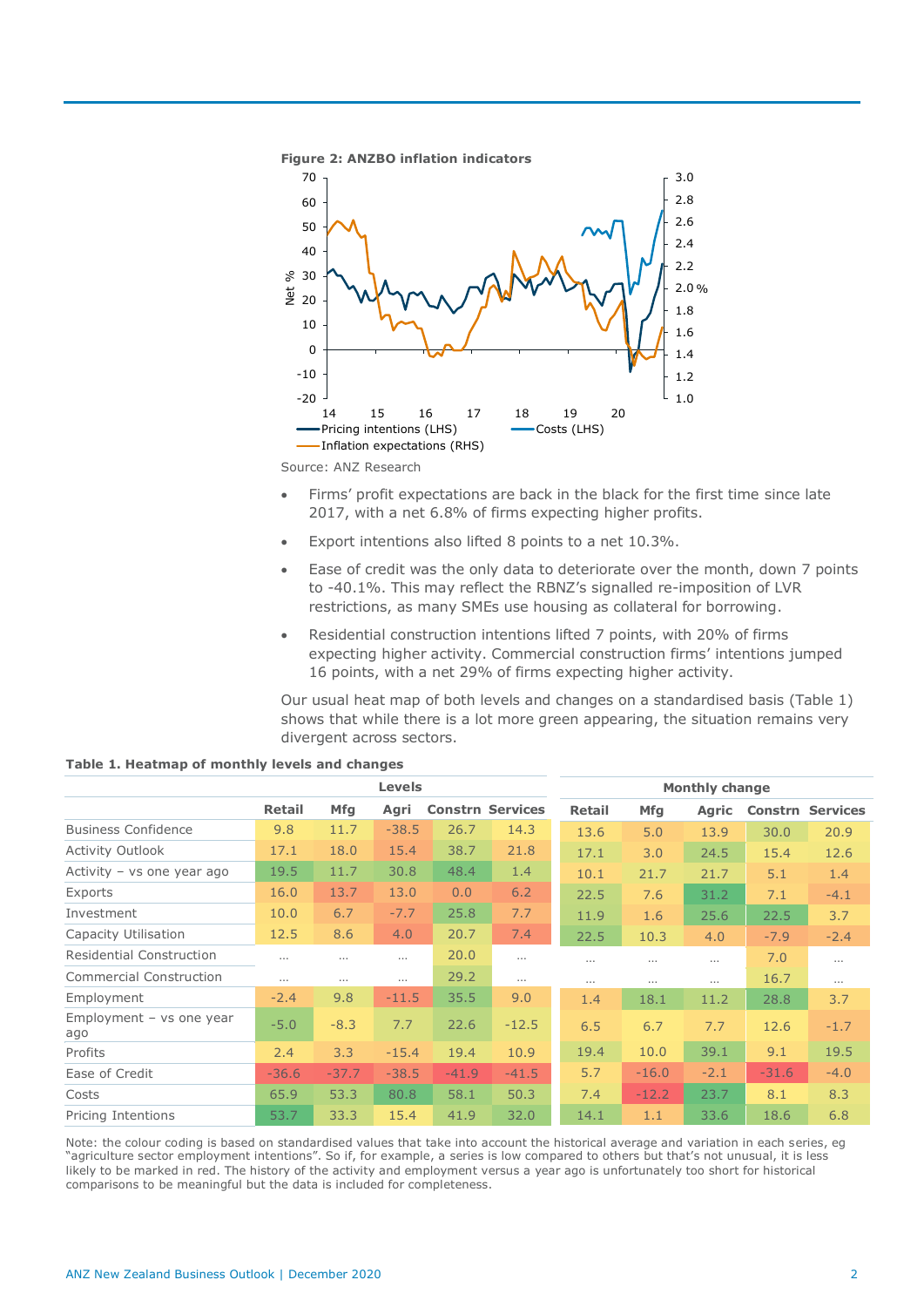

Source: ANZ Research

- Firms' profit expectations are back in the black for the first time since late 2017, with a net 6.8% of firms expecting higher profits.
- Export intentions also lifted 8 points to a net 10.3%.
- Ease of credit was the only data to deteriorate over the month, down 7 points to -40.1%. This may reflect the RBNZ's signalled re-imposition of LVR restrictions, as many SMEs use housing as collateral for borrowing.
- Residential construction intentions lifted 7 points, with 20% of firms expecting higher activity. Commercial construction firms' intentions jumped 16 points, with a net 29% of firms expecting higher activity.

Our usual heat map of both levels and changes on a standardised basis (Table 1) shows that while there is a lot more green appearing, the situation remains very divergent across sectors.

|                                   | <b>Levels</b> |          |          |                         | <b>Monthly change</b> |               |          |              |         |                 |
|-----------------------------------|---------------|----------|----------|-------------------------|-----------------------|---------------|----------|--------------|---------|-----------------|
|                                   | <b>Retail</b> | Mfg      | Agri     | <b>Constrn Services</b> |                       | <b>Retail</b> | Mfg      | <b>Agric</b> | Constrn | <b>Services</b> |
| <b>Business Confidence</b>        | 9.8           | 11.7     | $-38.5$  | 26.7                    | 14.3                  | 13.6          | 5.0      | 13.9         | 30.0    | 20.9            |
| <b>Activity Outlook</b>           | 17.1          | 18.0     | 15.4     | 38.7                    | 21.8                  | 17.1          | 3.0      | 24.5         | 15.4    | 12.6            |
| Activity - vs one year ago        | 19.5          | 11.7     | 30.8     | 48.4                    | 1.4                   | 10.1          | 21.7     | 21.7         | 5.1     | 1.4             |
| Exports                           | 16.0          | 13.7     | 13.0     | 0.0                     | 6.2                   | 22.5          | 7.6      | 31.2         | 7.1     | $-4.1$          |
| Investment                        | 10.0          | 6.7      | $-7.7$   | 25.8                    | 7.7                   | 11.9          | 1.6      | 25.6         | 22.5    | 3.7             |
| Capacity Utilisation              | 12.5          | 8.6      | 4.0      | 20.7                    | 7.4                   | 22.5          | 10.3     | 4.0          | $-7.9$  | $-2.4$          |
| Residential Construction          | $\cdots$      | $\cdots$ |          | 20.0                    | $\cdots$              | $\cdots$      | $\cdots$ | $\cdots$     | 7.0     | $\cdots$        |
| <b>Commercial Construction</b>    | $\cdots$      | $\cdots$ | $\cdots$ | 29.2                    | $\cdots$              | $\cdots$      | $\cdots$ | $\cdots$     | 16.7    | $\cdots$        |
| Employment                        | $-2.4$        | 9.8      | $-11.5$  | 35.5                    | 9.0                   | 1.4           | 18.1     | 11.2         | 28.8    | 3.7             |
| Employment $-$ vs one year<br>ago | $-5.0$        | $-8.3$   | 7.7      | 22.6                    | $-12.5$               | 6.5           | 6.7      | 7.7          | 12.6    | $-1.7$          |
| Profits                           | 2.4           | 3.3      | $-15.4$  | 19.4                    | 10.9                  | 19.4          | 10.0     | 39.1         | 9.1     | 19.5            |
| Ease of Credit                    | $-36.6$       | $-37.7$  | $-38.5$  | $-41.9$                 | $-41.5$               | 5.7           | $-16.0$  | $-2.1$       | $-31.6$ | $-4.0$          |
| Costs                             | 65.9          | 53.3     | 80.8     | 58.1                    | 50.3                  | 7.4           | $-12.2$  | 23.7         | 8.1     | 8.3             |
| Pricing Intentions                | 53.7          | 33.3     | 15.4     | 41.9                    | 32.0                  | 14.1          | 1.1      | 33.6         | 18.6    | 6.8             |

#### **Table 1. Heatmap of monthly levels and changes**

Note: the colour coding is based on standardised values that take into account the historical average and variation in each series, eg "agriculture sector employment intentions". So if, for example, a series is low compared to others but that's not unusual, it is less likely to be marked in red. The history of the activity and employment versus a year ago is unfortunately too short for historical comparisons to be meaningful but the data is included for completeness.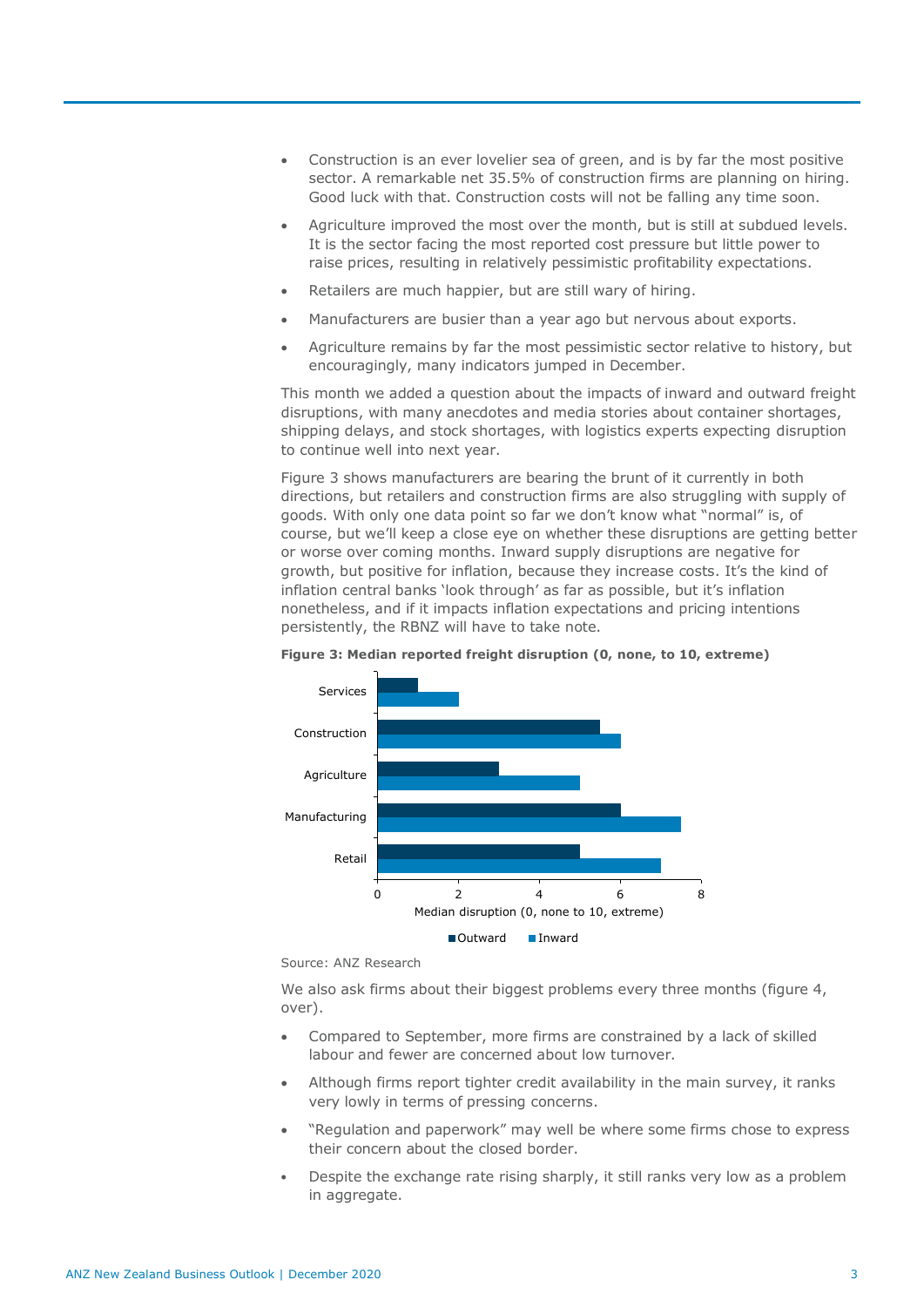- Construction is an ever lovelier sea of green, and is by far the most positive sector. A remarkable net 35.5% of construction firms are planning on hiring. Good luck with that. Construction costs will not be falling any time soon.
- Agriculture improved the most over the month, but is still at subdued levels. It is the sector facing the most reported cost pressure but little power to raise prices, resulting in relatively pessimistic profitability expectations.
- Retailers are much happier, but are still wary of hiring.
- Manufacturers are busier than a year ago but nervous about exports.
- Agriculture remains by far the most pessimistic sector relative to history, but encouragingly, many indicators jumped in December.

This month we added a question about the impacts of inward and outward freight disruptions, with many anecdotes and media stories about container shortages, shipping delays, and stock shortages, with logistics experts expecting disruption to continue well into next year.

Figure 3 shows manufacturers are bearing the brunt of it currently in both directions, but retailers and construction firms are also struggling with supply of goods. With only one data point so far we don't know what "normal" is, of course, but we'll keep a close eye on whether these disruptions are getting better or worse over coming months. Inward supply disruptions are negative for growth, but positive for inflation, because they increase costs. It's the kind of inflation central banks 'look through' as far as possible, but it's inflation nonetheless, and if it impacts inflation expectations and pricing intentions persistently, the RBNZ will have to take note.



**Figure 3: Median reported freight disruption (0, none, to 10, extreme)**

We also ask firms about their biggest problems every three months (figure 4, over).

- Compared to September, more firms are constrained by a lack of skilled labour and fewer are concerned about low turnover.
- Although firms report tighter credit availability in the main survey, it ranks very lowly in terms of pressing concerns.
- "Regulation and paperwork" may well be where some firms chose to express their concern about the closed border.
- Despite the exchange rate rising sharply, it still ranks very low as a problem in aggregate.

Source: ANZ Research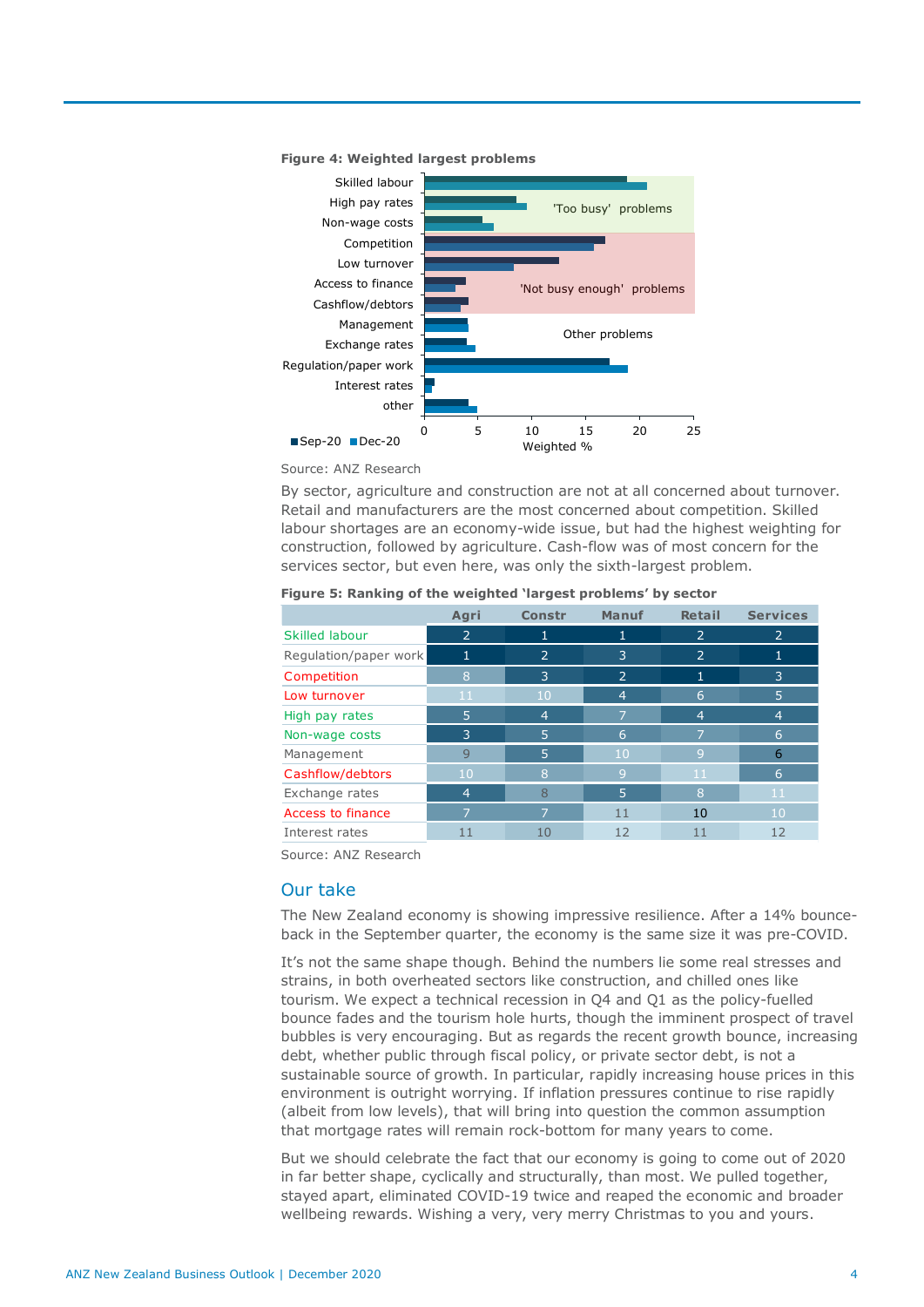



Source: ANZ Research

By sector, agriculture and construction are not at all concerned about turnover. Retail and manufacturers are the most concerned about competition. Skilled labour shortages are an economy-wide issue, but had the highest weighting for construction, followed by agriculture. Cash-flow was of most concern for the services sector, but even here, was only the sixth-largest problem.

|                       | Agri           | <b>Constr</b>  | Manuf          | <b>Retail</b>  | <b>Services</b> |
|-----------------------|----------------|----------------|----------------|----------------|-----------------|
| <b>Skilled labour</b> | $\overline{2}$ |                |                | $\overline{2}$ | 2               |
| Regulation/paper work | 1              | $\overline{2}$ | 3              | $\overline{2}$ |                 |
| Competition           | 8              | 3              | 2              | 1              | $\overline{3}$  |
| Low turnover          | 11             | 10             | $\overline{4}$ | 6              | 5               |
| High pay rates        | 5              | $\overline{4}$ | 7              | $\overline{4}$ | 4               |
| Non-wage costs        | 3              | 5              | 6              | 7              | 6               |
| Management            | 9              | 5              | 10             | 9              | 6               |
| Cashflow/debtors      | 10             | 8              | 9              | 11             | 6               |
| Exchange rates        | $\overline{4}$ | 8              | 5              | 8              | 11              |
| Access to finance     |                | ⇁              | 11             | 10             | 10 <sup>°</sup> |
| Interest rates        | 11             | 10             | 12             | 11             | 12              |

#### **Figure 5: Ranking of the weighted 'largest problems' by sector**

Source: ANZ Research

### Our take

The New Zealand economy is showing impressive resilience. After a 14% bounceback in the September quarter, the economy is the same size it was pre-COVID.

It's not the same shape though. Behind the numbers lie some real stresses and strains, in both overheated sectors like construction, and chilled ones like tourism. We expect a technical recession in Q4 and Q1 as the policy-fuelled bounce fades and the tourism hole hurts, though the imminent prospect of travel bubbles is very encouraging. But as regards the recent growth bounce, increasing debt, whether public through fiscal policy, or private sector debt, is not a sustainable source of growth. In particular, rapidly increasing house prices in this environment is outright worrying. If inflation pressures continue to rise rapidly (albeit from low levels), that will bring into question the common assumption that mortgage rates will remain rock-bottom for many years to come.

But we should celebrate the fact that our economy is going to come out of 2020 in far better shape, cyclically and structurally, than most. We pulled together, stayed apart, eliminated COVID-19 twice and reaped the economic and broader wellbeing rewards. Wishing a very, very merry Christmas to you and yours.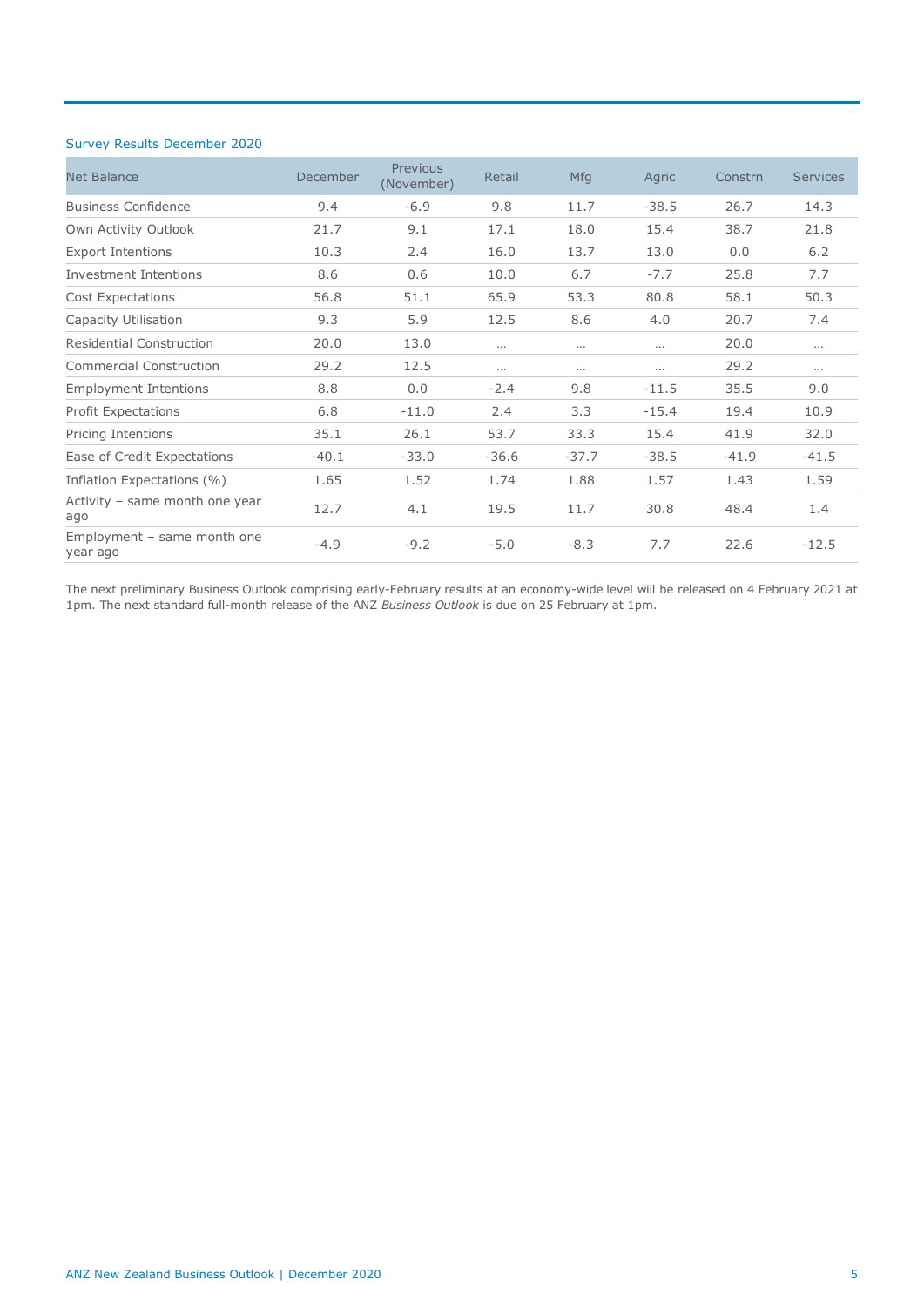### Survey Results December 2020

| <b>Net Balance</b>                        | December | Previous<br>(November) | Retail   | <b>Mfg</b> | Agric    | Constrn | Services |
|-------------------------------------------|----------|------------------------|----------|------------|----------|---------|----------|
| <b>Business Confidence</b>                | 9.4      | $-6.9$                 | 9.8      | 11.7       | $-38.5$  | 26.7    | 14.3     |
| Own Activity Outlook                      | 21.7     | 9.1                    | 17.1     | 18.0       | 15.4     | 38.7    | 21.8     |
| <b>Export Intentions</b>                  | 10.3     | 2.4                    | 16.0     | 13.7       | 13.0     | 0.0     | 6.2      |
| Investment Intentions                     | 8.6      | 0.6                    | 10.0     | 6.7        | $-7.7$   | 25.8    | 7.7      |
| <b>Cost Expectations</b>                  | 56.8     | 51.1                   | 65.9     | 53.3       | 80.8     | 58.1    | 50.3     |
| Capacity Utilisation                      | 9.3      | 5.9                    | 12.5     | 8.6        | 4.0      | 20.7    | 7.4      |
| <b>Residential Construction</b>           | 20.0     | 13.0                   | $\cdots$ | $\cdots$   | $\cdots$ | 20.0    | $\cdots$ |
| <b>Commercial Construction</b>            | 29.2     | 12.5                   | $\cdots$ | $\cdots$   | $\cdots$ | 29.2    | $\cdots$ |
| <b>Employment Intentions</b>              | 8.8      | 0.0                    | $-2.4$   | 9.8        | $-11.5$  | 35.5    | 9.0      |
| <b>Profit Expectations</b>                | 6.8      | $-11.0$                | 2.4      | 3.3        | $-15.4$  | 19.4    | 10.9     |
| Pricing Intentions                        | 35.1     | 26.1                   | 53.7     | 33.3       | 15.4     | 41.9    | 32.0     |
| Ease of Credit Expectations               | $-40.1$  | $-33.0$                | $-36.6$  | $-37.7$    | $-38.5$  | $-41.9$ | $-41.5$  |
| Inflation Expectations (%)                | 1.65     | 1.52                   | 1.74     | 1.88       | 1.57     | 1.43    | 1.59     |
| Activity - same month one year<br>ago     | 12.7     | 4.1                    | 19.5     | 11.7       | 30.8     | 48.4    | 1.4      |
| Employment $-$ same month one<br>year ago | $-4.9$   | $-9.2$                 | $-5.0$   | $-8.3$     | 7.7      | 22.6    | $-12.5$  |

The next preliminary Business Outlook comprising early-February results at an economy-wide level will be released on 4 February 2021 at 1pm. The next standard full-month release of the ANZ *Business Outlook* is due on 25 February at 1pm.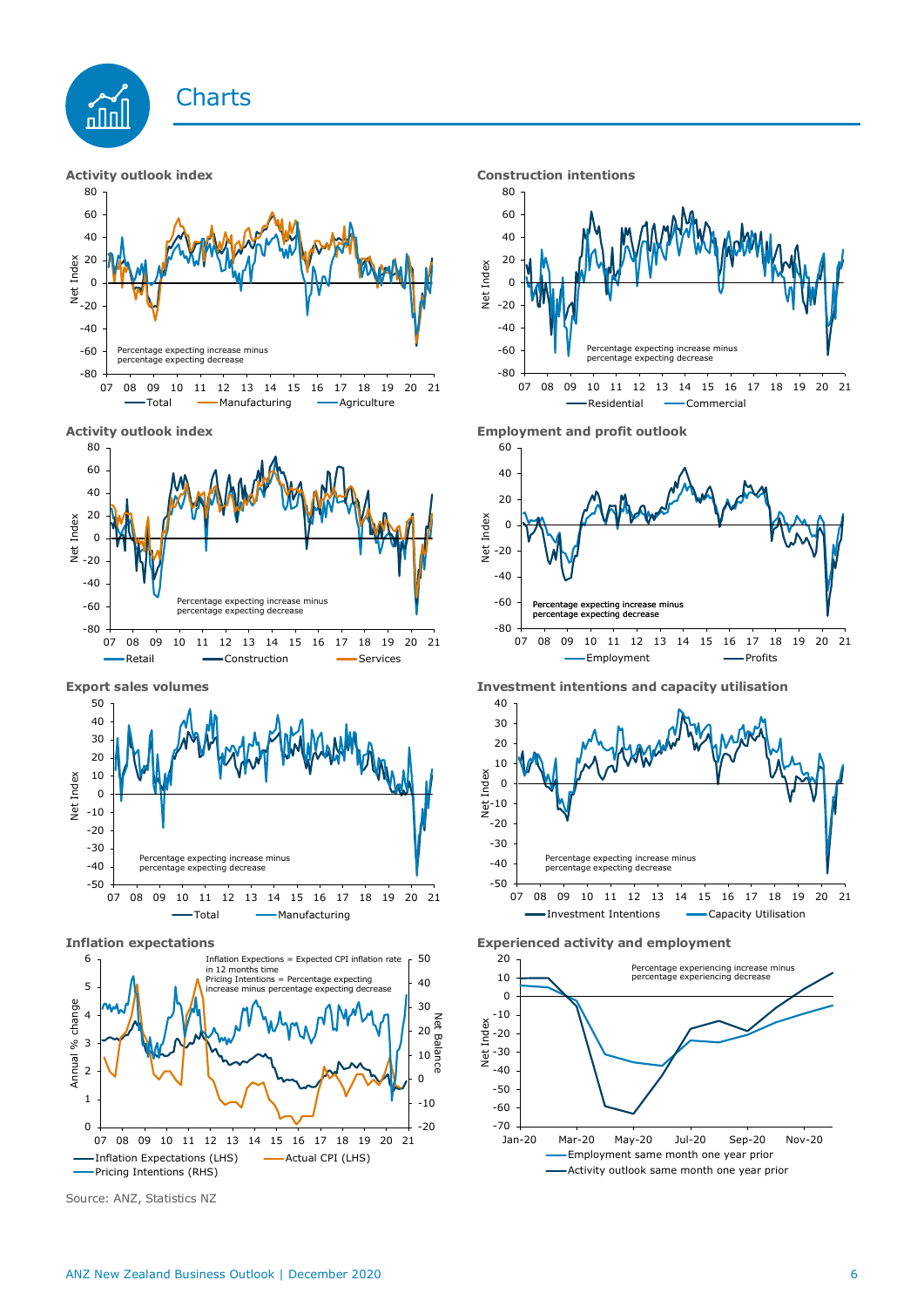









Source: ANZ, Statistics NZ







**Export sales volumes Investment intentions and capacity utilisation**



**Inflation expectations Experienced activity and employment**

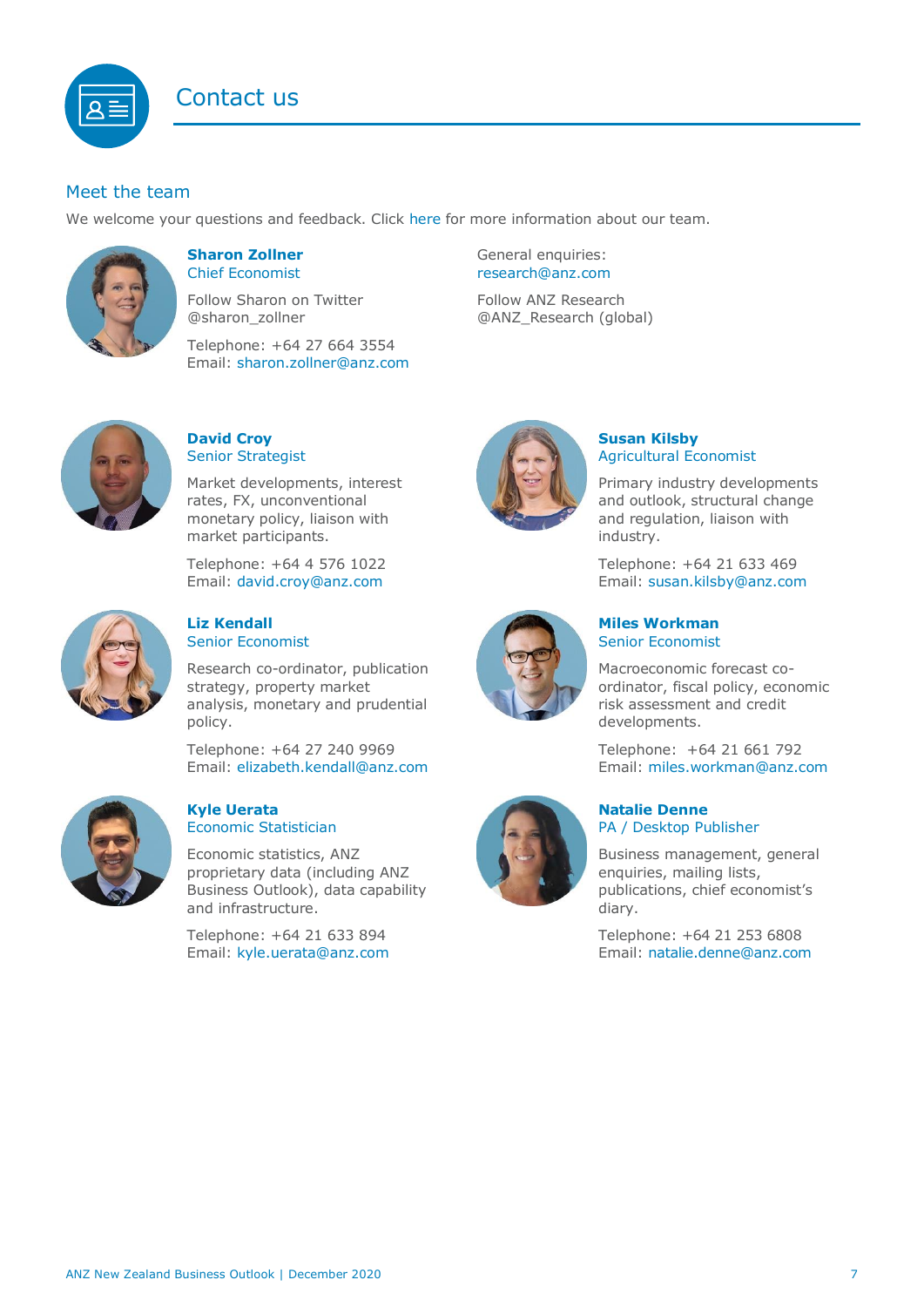# Contact us

### <span id="page-6-1"></span>Meet the team

We welcome your questions and feedback. Click [here](https://www.anz.co.nz/about-us/economic-markets-research/economics-research-team/) for more information about our team.



### <span id="page-6-0"></span>**Sharon Zollner** Chief Economist

Follow Sharon on Twitter @sharon\_zollner

Telephone: +64 27 664 3554 Email: [sharon.zollner@anz.com](mailto:sharon.zollner@anz.com)

### **David Croy** Senior Strategist

Market developments, interest rates, FX, unconventional monetary policy, liaison with market participants.

Telephone: +64 4 576 1022 Email: [david.croy@anz.com](mailto:david.croy@anz.com)



### **Liz Kendall**  Senior Economist

Research co-ordinator, publication strategy, property market analysis, monetary and prudential policy.

Telephone: +64 27 240 9969 Email: [elizabeth.kendall@anz.com](mailto:Elizabeth.Kendall@anz.com)



### **Kyle Uerata** Economic Statistician

Economic statistics, ANZ proprietary data (including ANZ Business Outlook), data capability and infrastructure.

Telephone: +64 21 633 894 Email: [kyle.uerata@anz.com](mailto:Kyle.Uerata@anz.com)

General enquiries: [research@anz.com](mailto:research@anz.com) Follow ANZ Research @ANZ\_Research (global)

## **Susan Kilsby** Agricultural Economist

Primary industry developments and outlook, structural change and regulation, liaison with industry.

Telephone: +64 21 633 469 Email: [susan.kilsby@anz.com](mailto:susan.kilsby@anz.com)



**Miles Workman**  Senior Economist

Macroeconomic forecast coordinator, fiscal policy, economic risk assessment and credit developments.

Telephone: +64 21 661 792 Email: [miles.workman@anz.com](mailto:miles.workman@anz.com)

### **Natalie Denne** PA / Desktop Publisher

Business management, general enquiries, mailing lists, publications, chief economist's diary.

Telephone: +64 21 253 6808 Email: [natalie.denne@anz.com](mailto:natalie.denne@anz.com)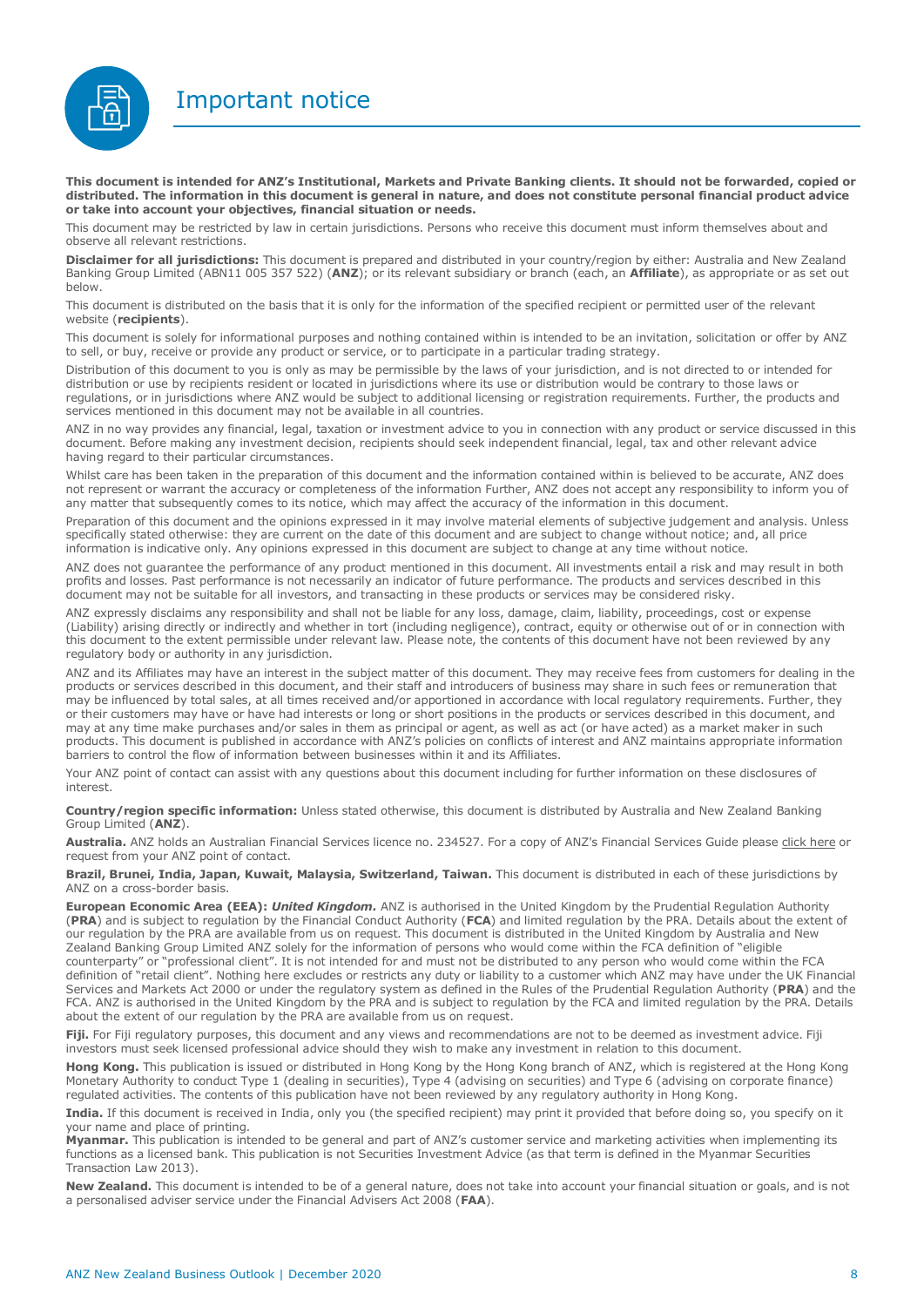Important notice



**This document is intended for ANZ's Institutional, Markets and Private Banking clients. It should not be forwarded, copied or distributed. The information in this document is general in nature, and does not constitute personal financial product advice or take into account your objectives, financial situation or needs.** 

This document may be restricted by law in certain jurisdictions. Persons who receive this document must inform themselves about and observe all relevant restrictions.

**Disclaimer for all jurisdictions:** This document is prepared and distributed in your country/region by either: Australia and New Zealand Banking Group Limited (ABN11 005 357 522) (**ANZ**); or its relevant subsidiary or branch (each, an **Affiliate**), as appropriate or as set out below.

This document is distributed on the basis that it is only for the information of the specified recipient or permitted user of the relevant website (**recipients**).

This document is solely for informational purposes and nothing contained within is intended to be an invitation, solicitation or offer by ANZ to sell, or buy, receive or provide any product or service, or to participate in a particular trading strategy.

Distribution of this document to you is only as may be permissible by the laws of your jurisdiction, and is not directed to or intended for distribution or use by recipients resident or located in jurisdictions where its use or distribution would be contrary to those laws or regulations, or in jurisdictions where ANZ would be subject to additional licensing or registration requirements. Further, the products and services mentioned in this document may not be available in all countries.

ANZ in no way provides any financial, legal, taxation or investment advice to you in connection with any product or service discussed in this document. Before making any investment decision, recipients should seek independent financial, legal, tax and other relevant advice having regard to their particular circumstances.

Whilst care has been taken in the preparation of this document and the information contained within is believed to be accurate, ANZ does not represent or warrant the accuracy or completeness of the information Further, ANZ does not accept any responsibility to inform you of any matter that subsequently comes to its notice, which may affect the accuracy of the information in this document.

Preparation of this document and the opinions expressed in it may involve material elements of subjective judgement and analysis. Unless specifically stated otherwise: they are current on the date of this document and are subject to change without notice; and, all price information is indicative only. Any opinions expressed in this document are subject to change at any time without notice.

ANZ does not guarantee the performance of any product mentioned in this document. All investments entail a risk and may result in both profits and losses. Past performance is not necessarily an indicator of future performance. The products and services described in this document may not be suitable for all investors, and transacting in these products or services may be considered risky.

ANZ expressly disclaims any responsibility and shall not be liable for any loss, damage, claim, liability, proceedings, cost or expense (Liability) arising directly or indirectly and whether in tort (including negligence), contract, equity or otherwise out of or in connection with this document to the extent permissible under relevant law. Please note, the contents of this document have not been reviewed by any regulatory body or authority in any jurisdiction.

ANZ and its Affiliates may have an interest in the subject matter of this document. They may receive fees from customers for dealing in the products or services described in this document, and their staff and introducers of business may share in such fees or remuneration that may be influenced by total sales, at all times received and/or apportioned in accordance with local regulatory requirements. Further, they or their customers may have or have had interests or long or short positions in the products or services described in this document, and may at any time make purchases and/or sales in them as principal or agent, as well as act (or have acted) as a market maker in such products. This document is published in accordance with ANZ's policies on conflicts of interest and ANZ maintains appropriate information barriers to control the flow of information between businesses within it and its Affiliates.

Your ANZ point of contact can assist with any questions about this document including for further information on these disclosures of interest.

**Country/region specific information:** Unless stated otherwise, this document is distributed by Australia and New Zealand Banking Group Limited (**ANZ**).

**Australia.** ANZ holds an Australian Financial Services licence no. 234527. For a copy of ANZ's Financial Services Guide please [click here](http://www.anz.com/documents/AU/aboutANZ/FinancialServicesGuide.pdf) or request from your ANZ point of contact.

**Brazil, Brunei, India, Japan, Kuwait, Malaysia, Switzerland, Taiwan.** This document is distributed in each of these jurisdictions by ANZ on a cross-border basis.

**European Economic Area (EEA):** *United Kingdom.* ANZ is authorised in the United Kingdom by the Prudential Regulation Authority (**PRA**) and is subject to regulation by the Financial Conduct Authority (**FCA**) and limited regulation by the PRA. Details about the extent of our regulation by the PRA are available from us on request. This document is distributed in the United Kingdom by Australia and New Zealand Banking Group Limited ANZ solely for the information of persons who would come within the FCA definition of "eligible counterparty" or "professional client". It is not intended for and must not be distributed to any person who would come within the FCA definition of "retail client". Nothing here excludes or restricts any duty or liability to a customer which ANZ may have under the UK Financial Services and Markets Act 2000 or under the regulatory system as defined in the Rules of the Prudential Regulation Authority (**PRA**) and the FCA. ANZ is authorised in the United Kingdom by the PRA and is subject to regulation by the FCA and limited regulation by the PRA. Details about the extent of our regulation by the PRA are available from us on request.

Fiji. For Fiji regulatory purposes, this document and any views and recommendations are not to be deemed as investment advice. Fiji investors must seek licensed professional advice should they wish to make any investment in relation to this document.

**Hong Kong.** This publication is issued or distributed in Hong Kong by the Hong Kong branch of ANZ, which is registered at the Hong Kong Monetary Authority to conduct Type 1 (dealing in securities), Type 4 (advising on securities) and Type 6 (advising on corporate finance) regulated activities. The contents of this publication have not been reviewed by any regulatory authority in Hong Kong.

**India.** If this document is received in India, only you (the specified recipient) may print it provided that before doing so, you specify on it your name and place of printing.

**Myanmar.** This publication is intended to be general and part of ANZ's customer service and marketing activities when implementing its functions as a licensed bank. This publication is not Securities Investment Advice (as that term is defined in the Myanmar Securities Transaction Law 2013).

**New Zealand.** This document is intended to be of a general nature, does not take into account your financial situation or goals, and is not a personalised adviser service under the Financial Advisers Act 2008 (**FAA**).